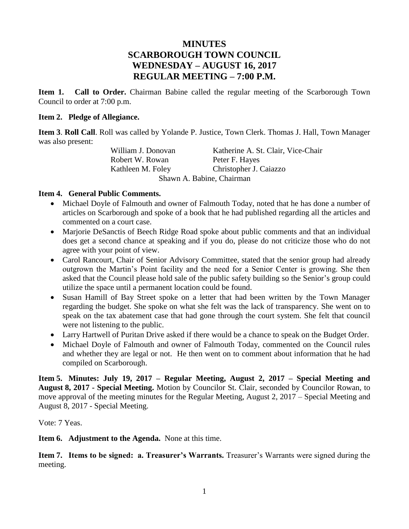# **MINUTES SCARBOROUGH TOWN COUNCIL WEDNESDAY – AUGUST 16, 2017 REGULAR MEETING – 7:00 P.M.**

**Item 1. Call to Order.** Chairman Babine called the regular meeting of the Scarborough Town Council to order at 7:00 p.m.

## **Item 2. Pledge of Allegiance.**

**Item 3**. **Roll Call**. Roll was called by Yolande P. Justice, Town Clerk. Thomas J. Hall, Town Manager was also present:

William J. Donovan Katherine A. St. Clair, Vice-Chair Robert W. Rowan Peter F. Hayes Kathleen M. Foley Christopher J. Caiazzo Shawn A. Babine, Chairman

## **Item 4. General Public Comments.**

- Michael Doyle of Falmouth and owner of Falmouth Today, noted that he has done a number of articles on Scarborough and spoke of a book that he had published regarding all the articles and commented on a court case.
- Marjorie DeSanctis of Beech Ridge Road spoke about public comments and that an individual does get a second chance at speaking and if you do, please do not criticize those who do not agree with your point of view.
- Carol Rancourt, Chair of Senior Advisory Committee, stated that the senior group had already outgrown the Martin's Point facility and the need for a Senior Center is growing. She then asked that the Council please hold sale of the public safety building so the Senior's group could utilize the space until a permanent location could be found.
- Susan Hamill of Bay Street spoke on a letter that had been written by the Town Manager regarding the budget. She spoke on what she felt was the lack of transparency. She went on to speak on the tax abatement case that had gone through the court system. She felt that council were not listening to the public.
- Larry Hartwell of Puritan Drive asked if there would be a chance to speak on the Budget Order.
- Michael Doyle of Falmouth and owner of Falmouth Today, commented on the Council rules and whether they are legal or not. He then went on to comment about information that he had compiled on Scarborough.

**Item 5. Minutes: July 19, 2017 – Regular Meeting, August 2, 2017 – Special Meeting and August 8, 2017 - Special Meeting.** Motion by Councilor St. Clair, seconded by Councilor Rowan, to move approval of the meeting minutes for the Regular Meeting, August 2, 2017 – Special Meeting and August 8, 2017 - Special Meeting.

Vote: 7 Yeas.

**Item 6. Adjustment to the Agenda.** None at this time.

**Item 7. Items to be signed: a. Treasurer's Warrants.** Treasurer's Warrants were signed during the meeting.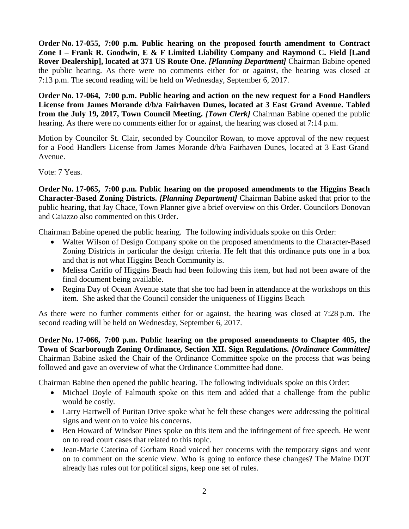**Order No. 17-055, 7:00 p.m. Public hearing on the proposed fourth amendment to Contract Zone I – Frank R. Goodwin, E & F Limited Liability Company and Raymond C. Field [Land Rover Dealership], located at 371 US Route One.** *[Planning Department]* Chairman Babine opened the public hearing. As there were no comments either for or against, the hearing was closed at 7:13 p.m. The second reading will be held on Wednesday, September 6, 2017.

**Order No. 17-064, 7:00 p.m. Public hearing and action on the new request for a Food Handlers License from James Morande d/b/a Fairhaven Dunes, located at 3 East Grand Avenue. Tabled from the July 19, 2017, Town Council Meeting.** *[Town Clerk]* Chairman Babine opened the public hearing. As there were no comments either for or against, the hearing was closed at 7:14 p.m.

Motion by Councilor St. Clair, seconded by Councilor Rowan, to move approval of the new request for a Food Handlers License from James Morande d/b/a Fairhaven Dunes, located at 3 East Grand Avenue.

Vote: 7 Yeas.

**Order No. 17-065, 7:00 p.m. Public hearing on the proposed amendments to the Higgins Beach Character-Based Zoning Districts.** *[Planning Department]* Chairman Babine asked that prior to the public hearing, that Jay Chace, Town Planner give a brief overview on this Order. Councilors Donovan and Caiazzo also commented on this Order.

Chairman Babine opened the public hearing. The following individuals spoke on this Order:

- Walter Wilson of Design Company spoke on the proposed amendments to the Character-Based Zoning Districts in particular the design criteria. He felt that this ordinance puts one in a box and that is not what Higgins Beach Community is.
- Melissa Carifio of Higgins Beach had been following this item, but had not been aware of the final document being available.
- Regina Day of Ocean Avenue state that she too had been in attendance at the workshops on this item. She asked that the Council consider the uniqueness of Higgins Beach

As there were no further comments either for or against, the hearing was closed at 7:28 p.m. The second reading will be held on Wednesday, September 6, 2017.

**Order No. 17-066, 7:00 p.m. Public hearing on the proposed amendments to Chapter 405, the Town of Scarborough Zoning Ordinance, Section XII. Sign Regulations.** *[Ordinance Committee]* Chairman Babine asked the Chair of the Ordinance Committee spoke on the process that was being followed and gave an overview of what the Ordinance Committee had done.

Chairman Babine then opened the public hearing. The following individuals spoke on this Order:

- Michael Doyle of Falmouth spoke on this item and added that a challenge from the public would be costly.
- Larry Hartwell of Puritan Drive spoke what he felt these changes were addressing the political signs and went on to voice his concerns.
- Ben Howard of Windsor Pines spoke on this item and the infringement of free speech. He went on to read court cases that related to this topic.
- Jean-Marie Caterina of Gorham Road voiced her concerns with the temporary signs and went on to comment on the scenic view. Who is going to enforce these changes? The Maine DOT already has rules out for political signs, keep one set of rules.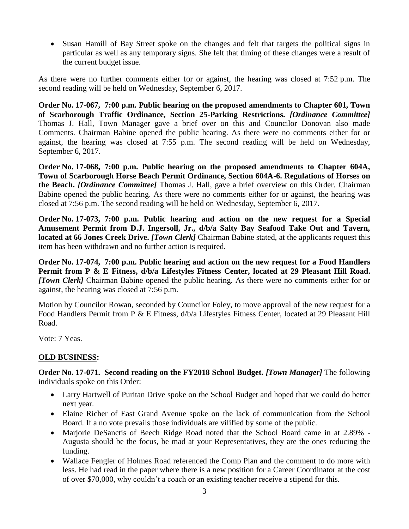• Susan Hamill of Bay Street spoke on the changes and felt that targets the political signs in particular as well as any temporary signs. She felt that timing of these changes were a result of the current budget issue.

As there were no further comments either for or against, the hearing was closed at 7:52 p.m. The second reading will be held on Wednesday, September 6, 2017.

**Order No. 17-067, 7:00 p.m. Public hearing on the proposed amendments to Chapter 601, Town of Scarborough Traffic Ordinance, Section 25-Parking Restrictions.** *[Ordinance Committee]* Thomas J. Hall, Town Manager gave a brief over on this and Councilor Donovan also made Comments. Chairman Babine opened the public hearing. As there were no comments either for or against, the hearing was closed at 7:55 p.m. The second reading will be held on Wednesday, September 6, 2017.

**Order No. 17-068, 7:00 p.m. Public hearing on the proposed amendments to Chapter 604A, Town of Scarborough Horse Beach Permit Ordinance, Section 604A-6. Regulations of Horses on the Beach.** *[Ordinance Committee]* Thomas J. Hall, gave a brief overview on this Order. Chairman Babine opened the public hearing. As there were no comments either for or against, the hearing was closed at 7:56 p.m. The second reading will be held on Wednesday, September 6, 2017.

**Order No. 17-073, 7:00 p.m. Public hearing and action on the new request for a Special Amusement Permit from D.J. Ingersoll, Jr., d/b/a Salty Bay Seafood Take Out and Tavern, located at 66 Jones Creek Drive.** *[Town Clerk]* Chairman Babine stated, at the applicants request this item has been withdrawn and no further action is required.

**Order No. 17-074, 7:00 p.m. Public hearing and action on the new request for a Food Handlers Permit from P & E Fitness, d/b/a Lifestyles Fitness Center, located at 29 Pleasant Hill Road.**  *[Town Clerk]* Chairman Babine opened the public hearing. As there were no comments either for or against, the hearing was closed at 7:56 p.m.

Motion by Councilor Rowan, seconded by Councilor Foley, to move approval of the new request for a Food Handlers Permit from P & E Fitness, d/b/a Lifestyles Fitness Center, located at 29 Pleasant Hill Road.

Vote: 7 Yeas.

# **OLD BUSINESS:**

**Order No. 17-071. Second reading on the FY2018 School Budget.** *[Town Manager]* The following individuals spoke on this Order:

- Larry Hartwell of Puritan Drive spoke on the School Budget and hoped that we could do better next year.
- Elaine Richer of East Grand Avenue spoke on the lack of communication from the School Board. If a no vote prevails those individuals are vilified by some of the public.
- Marjorie DeSanctis of Beech Ridge Road noted that the School Board came in at 2.89% Augusta should be the focus, be mad at your Representatives, they are the ones reducing the funding.
- Wallace Fengler of Holmes Road referenced the Comp Plan and the comment to do more with less. He had read in the paper where there is a new position for a Career Coordinator at the cost of over \$70,000, why couldn't a coach or an existing teacher receive a stipend for this.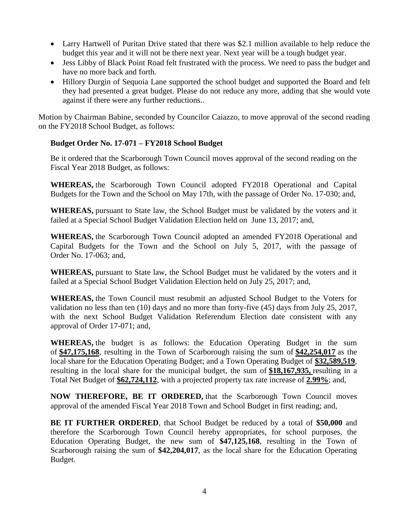- Larry Hartwell of Puritan Drive stated that there was \$2.1 million available to help reduce the budget this year and it will not be there next year. Next year will be a tough budget year.
- Jess Libby of Black Point Road felt frustrated with the process. We need to pass the budget and have no more back and forth.
- Hillory Durgin of Sequoia Lane supported the school budget and supported the Board and felt they had presented a great budget. Please do not reduce any more, adding that she would vote against if there were any further reductions..

Motion by Chairman Babine, seconded by Councilor Caiazzo, to move approval of the second reading on the FY2018 School Budget, as follows:

## **Budget Order No. 17-071 – FY2018 School Budget**

Be it ordered that the Scarborough Town Council moves approval of the second reading on the Fiscal Year 2018 Budget, as follows:

**WHEREAS,** the Scarborough Town Council adopted FY2018 Operational and Capital Budgets for the Town and the School on May 17th, with the passage of Order No. 17-030; and,

**WHEREAS,** pursuant to State law, the School Budget must be validated by the voters and it failed at a Special School Budget Validation Election held on June 13, 2017; and,

**WHEREAS,** the Scarborough Town Council adopted an amended FY2018 Operational and Capital Budgets for the Town and the School on July 5, 2017, with the passage of Order No. 17-063; and,

**WHEREAS,** pursuant to State law, the School Budget must be validated by the voters and it failed at a Special School Budget Validation Election held on July 25, 2017; and,

**WHEREAS,** the Town Council must resubmit an adjusted School Budget to the Voters for validation no less than ten (10) days and no more than forty-five (45) days from July 25, 2017, with the next School Budget Validation Referendum Election date consistent with any approval of Order 17-071; and,

**WHEREAS,** the budget is as follows:the Education Operating Budget in the sum of **\$47,175,168**, resulting in the Town of Scarborough raising the sum of **\$42,254,017** as the local share for the Education Operating Budget; and a Town Operating Budget of **\$32,589,519**, resulting in the local share for the municipal budget, the sum of **\$18,167,935,** resulting in a Total Net Budget of **\$62,724,112**, with a projected property tax rate increase of **2.99%**; and,

**NOW THEREFORE, BE IT ORDERED,** that the Scarborough Town Council moves approval of the amended Fiscal Year 2018 Town and School Budget in first reading; and,

**BE IT FURTHER ORDERED**, that School Budget be reduced by a total of **\$50,000** and therefore the Scarborough Town Council hereby appropriates, for school purposes, the Education Operating Budget, the new sum of **\$47,125,168**, resulting in the Town of Scarborough raising the sum of **\$42,204,017**, as the local share for the Education Operating Budget.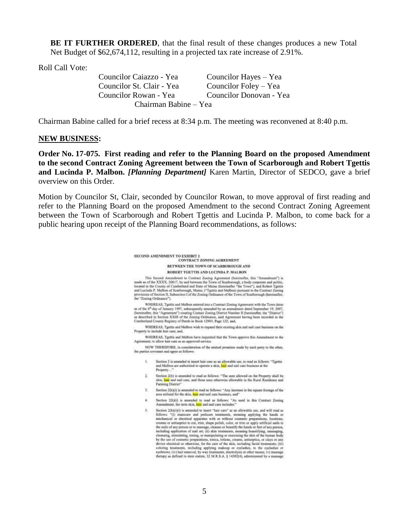**BE IT FURTHER ORDERED**, that the final result of these changes produces a new Total Net Budget of \$62,674,112, resulting in a projected tax rate increase of 2.91%.

Roll Call Vote:

Councilor Caiazzo - Yea Councilor Hayes – Yea Councilor St. Clair - Yea Councilor Foley – Yea Councilor Rowan - Yea Councilor Donovan - Yea Chairman Babine – Yea

Chairman Babine called for a brief recess at 8:34 p.m. The meeting was reconvened at 8:40 p.m.

#### **NEW BUSINESS:**

**Order No. 17-075. First reading and refer to the Planning Board on the proposed Amendment to the second Contract Zoning Agreement between the Town of Scarborough and Robert Tgettis and Lucinda P. Malbon.** *[Planning Department]* Karen Martin, Director of SEDCO, gave a brief overview on this Order.

Motion by Councilor St, Clair, seconded by Councilor Rowan, to move approval of first reading and refer to the Planning Board on the proposed Amendment to the second Contract Zoning Agreement between the Town of Scarborough and Robert Tgettis and Lucinda P. Malbon, to come back for a public hearing upon receipt of the Planning Board recommendations, as follows:

> SECOND AMENDMENT TO EXHIBIT 2 **CONTRACT ZONING AGREEMENT** BETWEEN THE TOWN OF SCARBOROUGH AND ROBERT TGETTIS AND LUCINDA P. MALBON

This Second Amendment to Contract Zoning Agreement (hereins<br>that, this "Amendment") is made as of the XXXX, 20017, by and between the Town of Scarborough, a body corporate and politic, located in the County of Camberland the "Zoning Ordinance").

WHEREAS, Tgettis and Malbon entered into a Contract Zoning Agreement with the Town dates WHEREANS, Typeths and Malbott enterted linia a Contract Zoning Agreement with the Tewn dates<br>at of the 6<sup>th</sup> day of January 1997, subsequently amended by an amondment dated September 19, 2007,<br>(hereinafter, this "Agreement

WHEREAS, Tgettis and Malbon wish to expand their existing skin and nail care business on the Property to inc. de hair care; and,

WHEREAS, Tgettis and Malbon have requested that the Town approve this Amendment to the Agreement; to allow hair care as an approved service.

NOW THEREFORE, in consideration of the mutual promises made by each party to the other, the parties coverant and saree as follows:

- 1. Section 2 is amended to insert hair care as an allowable use, to read as follows: "Tgettis and Malbon are authorized to operate a skin, hair and nail care business at the Property...
- 2. Section 2(b) is amended to read as follows: "The uses allowed on the Property shall be sión, hair and nail care, and those uses otherwise allowable in the Rural Residence and **Farming District®**
- 3. Section 2(h)(i) is attended to read as follows: "Any increase in the square footage of the area utilized for the skin, hair and nail care business, and"
- 4. Section 2(h)(i) is amended to read as follows: "As used in this Contract Zoning Amendment, the term skin, hair and nail care includes:'
- 5. Section 2(h)(i)(i) is amended to insert "hair care" as an allowable use, and will read as follows: "(i) manicure and pedicure treatments, meaning applying the handa or mechanical or electrical apparatus with or without cosmetic preparations, locations, creams or antisepties to out, trim, shape polish, color, or trim or apply artificial nails to the nails of any person or to massage, cleanse or beautify the hands or feet of any person, including application of nail art; (ii) skin treatments, meaning beautifying, massaging, cleansing, stimulating, toning, or manipulating or exercising the skin of the human body consumption control properties at the care of the skin, including the skin of the state of cosmittic properties, a trainsity and spin and device electrical or otherwise, for the care of the skin, including facial treatmen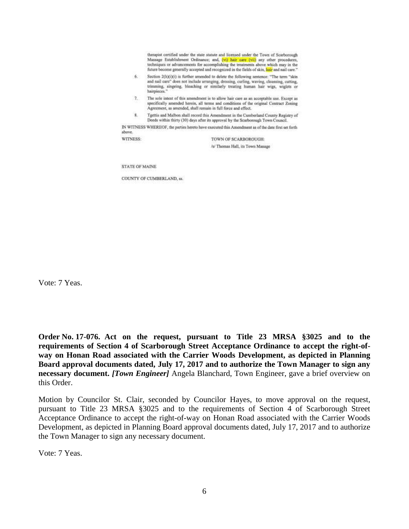therapist certified under the state statute and licensed under the Town of Scarborough Massage Establishment Ordinance; and, (vi) hair care (vii) any other procedures, techniques or advancements for accomplishing the treatments above which may in the future become generally accepted and recognized in the fields of skin, hair and nail care."

- 6. Section 2(h)(i)(i) is further amended to delete the following sentence: "The term "skin and nail care" does not include arranging, dressing, curling, waving, cleansing, cutting, trimming, singeing, bleaching or similarly treating human hair wigs, wiglets or hairpieces
- 7. The sole intent of this amendment is to allow hair care as an acceptable use. Except as specifically amended herein, all terms and conditions of the original Contract Zoning Agreement, as amended, shall remain in full force and effect.
- Tgettis and Malbon shall record this Amendment in the Cumberland County Registry of  $8.$ Deeds within thirty (30) days after its approval by the Scarborough Town Council.

IN WITNESS WHEREOF, the parties hereto have executed this Amendment as of the date first set forth above.

WITNESS:

TOWN OF SCARBOROUGH: /s/ Thomas Hall, its Town Manage

**STATE OF MAINE** 

COUNTY OF CUMBERLAND, ss.

Vote: 7 Yeas.

**Order No. 17-076. Act on the request, pursuant to Title 23 MRSA §3025 and to the requirements of Section 4 of Scarborough Street Acceptance Ordinance to accept the right-ofway on Honan Road associated with the Carrier Woods Development, as depicted in Planning Board approval documents dated, July 17, 2017 and to authorize the Town Manager to sign any necessary document.** *[Town Engineer]* Angela Blanchard, Town Engineer, gave a brief overview on this Order.

Motion by Councilor St. Clair, seconded by Councilor Hayes, to move approval on the request, pursuant to Title 23 MRSA §3025 and to the requirements of Section 4 of Scarborough Street Acceptance Ordinance to accept the right-of-way on Honan Road associated with the Carrier Woods Development, as depicted in Planning Board approval documents dated, July 17, 2017 and to authorize the Town Manager to sign any necessary document.

Vote: 7 Yeas.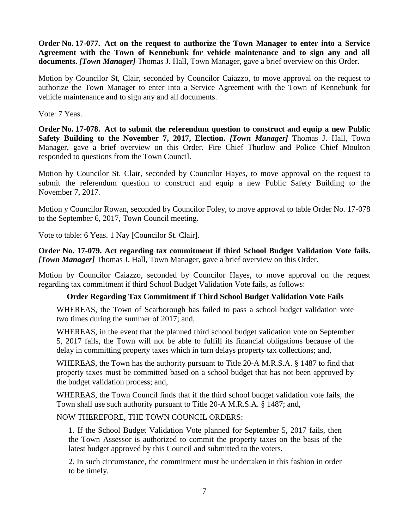**Order No. 17-077. Act on the request to authorize the Town Manager to enter into a Service Agreement with the Town of Kennebunk for vehicle maintenance and to sign any and all documents.** *[Town Manager]* Thomas J. Hall, Town Manager, gave a brief overview on this Order.

Motion by Councilor St, Clair, seconded by Councilor Caiazzo, to move approval on the request to authorize the Town Manager to enter into a Service Agreement with the Town of Kennebunk for vehicle maintenance and to sign any and all documents.

Vote: 7 Yeas.

**Order No. 17-078. Act to submit the referendum question to construct and equip a new Public Safety Building to the November 7, 2017, Election.** *[Town Manager]* Thomas J. Hall, Town Manager, gave a brief overview on this Order. Fire Chief Thurlow and Police Chief Moulton responded to questions from the Town Council.

Motion by Councilor St. Clair, seconded by Councilor Hayes, to move approval on the request to submit the referendum question to construct and equip a new Public Safety Building to the November 7, 2017.

Motion y Councilor Rowan, seconded by Councilor Foley, to move approval to table Order No. 17-078 to the September 6, 2017, Town Council meeting.

Vote to table: 6 Yeas. 1 Nay [Councilor St. Clair].

**Order No. 17-079. Act regarding tax commitment if third School Budget Validation Vote fails.**  *[Town Manager]* Thomas J. Hall, Town Manager, gave a brief overview on this Order.

Motion by Councilor Caiazzo, seconded by Councilor Hayes, to move approval on the request regarding tax commitment if third School Budget Validation Vote fails, as follows:

## **Order Regarding Tax Commitment if Third School Budget Validation Vote Fails**

WHEREAS, the Town of Scarborough has failed to pass a school budget validation vote two times during the summer of 2017; and,

WHEREAS, in the event that the planned third school budget validation vote on September 5, 2017 fails, the Town will not be able to fulfill its financial obligations because of the delay in committing property taxes which in turn delays property tax collections; and,

WHEREAS, the Town has the authority pursuant to Title 20-A M.R.S.A. § 1487 to find that property taxes must be committed based on a school budget that has not been approved by the budget validation process; and,

WHEREAS, the Town Council finds that if the third school budget validation vote fails, the Town shall use such authority pursuant to Title 20-A M.R.S.A. § 1487; and,

## NOW THEREFORE, THE TOWN COUNCIL ORDERS:

1. If the School Budget Validation Vote planned for September 5, 2017 fails, then the Town Assessor is authorized to commit the property taxes on the basis of the latest budget approved by this Council and submitted to the voters.

2. In such circumstance, the commitment must be undertaken in this fashion in order to be timely.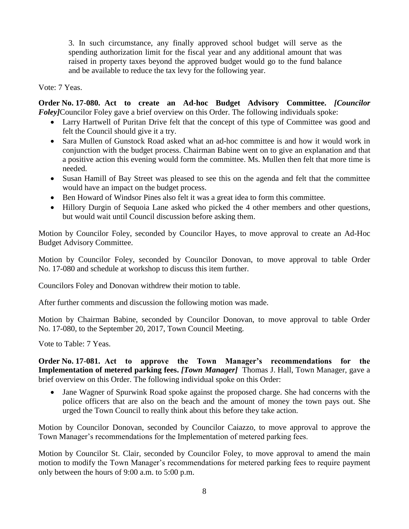3. In such circumstance, any finally approved school budget will serve as the spending authorization limit for the fiscal year and any additional amount that was raised in property taxes beyond the approved budget would go to the fund balance and be available to reduce the tax levy for the following year.

Vote: 7 Yeas.

**Order No. 17-080. Act to create an Ad-hoc Budget Advisory Committee.** *[Councilor Foley]*Councilor Foley gave a brief overview on this Order. The following individuals spoke:

- Larry Hartwell of Puritan Drive felt that the concept of this type of Committee was good and felt the Council should give it a try.
- Sara Mullen of Gunstock Road asked what an ad-hoc committee is and how it would work in conjunction with the budget process. Chairman Babine went on to give an explanation and that a positive action this evening would form the committee. Ms. Mullen then felt that more time is needed.
- Susan Hamill of Bay Street was pleased to see this on the agenda and felt that the committee would have an impact on the budget process.
- Ben Howard of Windsor Pines also felt it was a great idea to form this committee.
- Hillory Durgin of Sequoia Lane asked who picked the 4 other members and other questions, but would wait until Council discussion before asking them.

Motion by Councilor Foley, seconded by Councilor Hayes, to move approval to create an Ad-Hoc Budget Advisory Committee.

Motion by Councilor Foley, seconded by Councilor Donovan, to move approval to table Order No. 17-080 and schedule at workshop to discuss this item further.

Councilors Foley and Donovan withdrew their motion to table.

After further comments and discussion the following motion was made.

Motion by Chairman Babine, seconded by Councilor Donovan, to move approval to table Order No. 17-080, to the September 20, 2017, Town Council Meeting.

Vote to Table: 7 Yeas.

**Order No. 17-081. Act to approve the Town Manager's recommendations for the Implementation of metered parking fees.** *[Town Manager]* Thomas J. Hall, Town Manager, gave a brief overview on this Order. The following individual spoke on this Order:

 Jane Wagner of Spurwink Road spoke against the proposed charge. She had concerns with the police officers that are also on the beach and the amount of money the town pays out. She urged the Town Council to really think about this before they take action.

Motion by Councilor Donovan, seconded by Councilor Caiazzo, to move approval to approve the Town Manager's recommendations for the Implementation of metered parking fees.

Motion by Councilor St. Clair, seconded by Councilor Foley, to move approval to amend the main motion to modify the Town Manager's recommendations for metered parking fees to require payment only between the hours of 9:00 a.m. to 5:00 p.m.